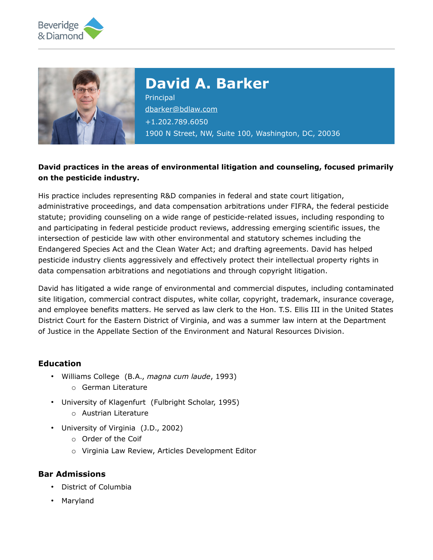



# **David A. Barker**

**Principal** [dbarker@bdlaw.com](mailto:dbarker@bdlaw.com) +1.202.789.6050 1900 N Street, NW, Suite 100, Washington, DC, 20036

### **David practices in the areas of environmental litigation and counseling, focused primarily on the pesticide industry.**

His practice includes representing R&D companies in federal and state court litigation, administrative proceedings, and data compensation arbitrations under FIFRA, the federal pesticide statute; providing counseling on a wide range of pesticide-related issues, including responding to and participating in federal pesticide product reviews, addressing emerging scientific issues, the intersection of pesticide law with other environmental and statutory schemes including the Endangered Species Act and the Clean Water Act; and drafting agreements. David has helped pesticide industry clients aggressively and effectively protect their intellectual property rights in data compensation arbitrations and negotiations and through copyright litigation.

David has litigated a wide range of environmental and commercial disputes, including contaminated site litigation, commercial contract disputes, white collar, copyright, trademark, insurance coverage, and employee benefits matters. He served as law clerk to the Hon. T.S. Ellis III in the United States District Court for the Eastern District of Virginia, and was a summer law intern at the Department of Justice in the Appellate Section of the Environment and Natural Resources Division.

#### **Education**

- Williams College (B.A., *magna cum laude*, 1993) o German Literature
- University of Klagenfurt (Fulbright Scholar, 1995)
	- o Austrian Literature
- University of Virginia (J.D., 2002)
	- o Order of the Coif
	- o Virginia Law Review, Articles Development Editor

#### **Bar Admissions**

- District of Columbia
- Maryland